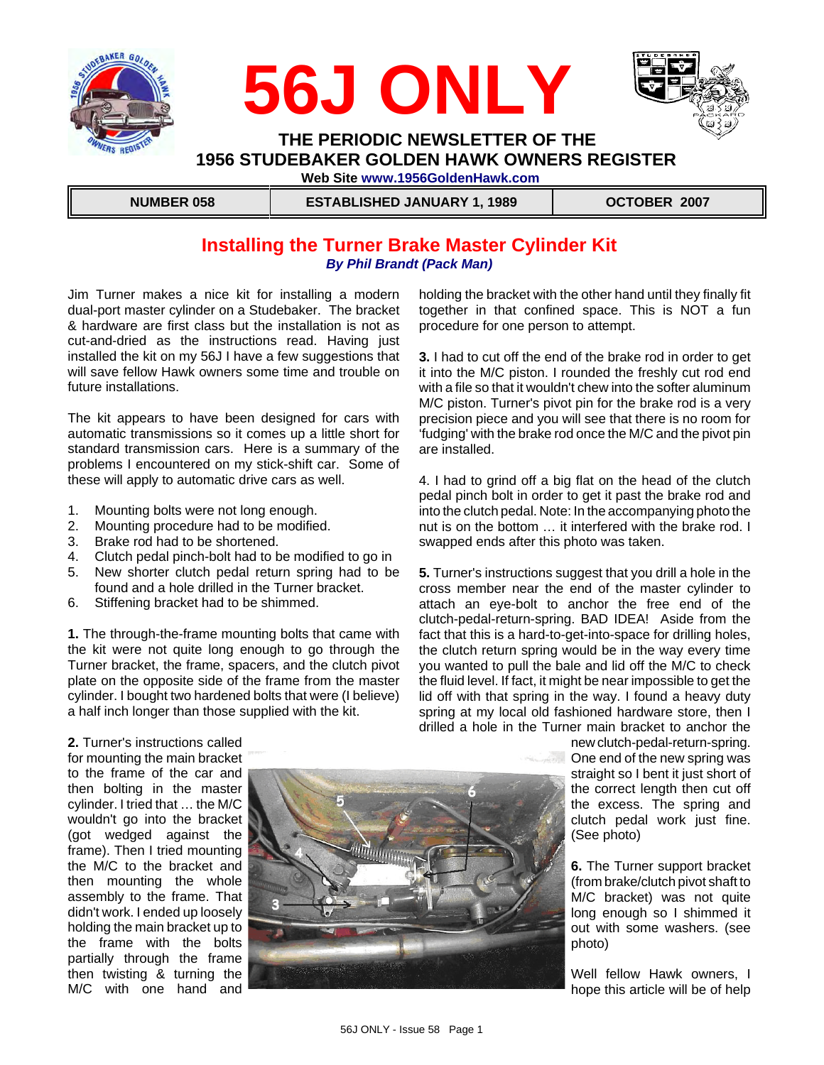





 **THE PERIODIC NEWSLETTER OF THE 1956 STUDEBAKER GOLDEN HAWK OWNERS REGISTER** 

 **Web Site www.1956GoldenHawk.com**

**NUMBER 058 ESTABLISHED JANUARY 1, 1989 CTOBER 2007** 

# **Installing the Turner Brake Master Cylinder Kit** *By Phil Brandt (Pack Man)*

Jim Turner makes a nice kit for installing a modern dual-port master cylinder on a Studebaker. The bracket & hardware are first class but the installation is not as cut-and-dried as the instructions read. Having just installed the kit on my 56J I have a few suggestions that will save fellow Hawk owners some time and trouble on future installations.

The kit appears to have been designed for cars with automatic transmissions so it comes up a little short for standard transmission cars. Here is a summary of the problems I encountered on my stick-shift car. Some of these will apply to automatic drive cars as well.

- 1. Mounting bolts were not long enough.
- 2. Mounting procedure had to be modified.
- 3. Brake rod had to be shortened.
- 4. Clutch pedal pinch-bolt had to be modified to go in
- 5. New shorter clutch pedal return spring had to be found and a hole drilled in the Turner bracket.
- 6. Stiffening bracket had to be shimmed.

**1.** The through-the-frame mounting bolts that came with the kit were not quite long enough to go through the Turner bracket, the frame, spacers, and the clutch pivot plate on the opposite side of the frame from the master cylinder. I bought two hardened bolts that were (I believe) a half inch longer than those supplied with the kit.

holding the bracket with the other hand until they finally fit together in that confined space. This is NOT a fun procedure for one person to attempt.

**3.** I had to cut off the end of the brake rod in order to get it into the M/C piston. I rounded the freshly cut rod end with a file so that it wouldn't chew into the softer aluminum M/C piston. Turner's pivot pin for the brake rod is a very precision piece and you will see that there is no room for 'fudging' with the brake rod once the M/C and the pivot pin are installed.

4. I had to grind off a big flat on the head of the clutch pedal pinch bolt in order to get it past the brake rod and into the clutch pedal. Note: In the accompanying photo the nut is on the bottom … it interfered with the brake rod. I swapped ends after this photo was taken.

**5.** Turner's instructions suggest that you drill a hole in the cross member near the end of the master cylinder to attach an eye-bolt to anchor the free end of the clutch-pedal-return-spring. BAD IDEA! Aside from the fact that this is a hard-to-get-into-space for drilling holes, the clutch return spring would be in the way every time you wanted to pull the bale and lid off the M/C to check the fluid level. If fact, it might be near impossible to get the lid off with that spring in the way. I found a heavy duty spring at my local old fashioned hardware store, then I drilled a hole in the Turner main bracket to anchor the

**2.** Turner's instructions called for mounting the main bracket to the frame of the car and then bolting in the master cylinder. I tried that … the M/C wouldn't go into the bracket (got wedged against the frame). Then I tried mounting the M/C to the bracket and then mounting the whole assembly to the frame. That didn't work. I ended up loosely holding the main bracket up to the frame with the bolts partially through the frame then twisting & turning the M/C with one hand and



new clutch-pedal-return-spring. **One end of the new spring was** straight so I bent it just short of the correct length then cut off the excess. The spring and clutch pedal work just fine. (See photo)

**6.** The Turner support bracket (from brake/clutch pivot shaft to M/C bracket) was not quite long enough so I shimmed it out with some washers. (see photo)

Well fellow Hawk owners, I hope this article will be of help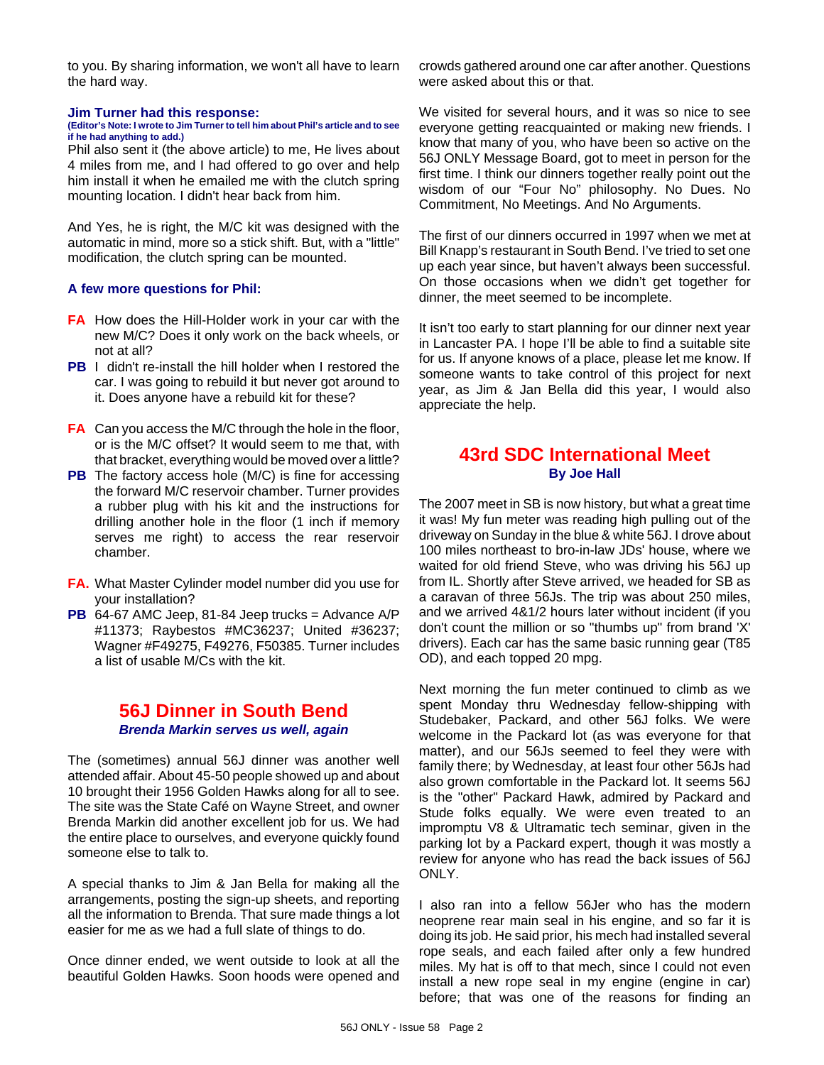to you. By sharing information, we won't all have to learn the hard way.

#### **Jim Turner had this response:**

#### **(Editor's Note: I wrote to Jim Turner to tell him about Phil's article and to see if he had anything to add.)**

Phil also sent it (the above article) to me, He lives about 4 miles from me, and I had offered to go over and help him install it when he emailed me with the clutch spring mounting location. I didn't hear back from him.

And Yes, he is right, the M/C kit was designed with the automatic in mind, more so a stick shift. But, with a "little" modification, the clutch spring can be mounted.

## **A few more questions for Phil:**

- **FA** How does the Hill-Holder work in your car with the new M/C? Does it only work on the back wheels, or not at all?
- **PB** I didn't re-install the hill holder when I restored the car. I was going to rebuild it but never got around to it. Does anyone have a rebuild kit for these?
- **FA** Can you access the M/C through the hole in the floor, or is the M/C offset? It would seem to me that, with that bracket, everything would be moved over a little?
- **PB** The factory access hole (M/C) is fine for accessing the forward M/C reservoir chamber. Turner provides a rubber plug with his kit and the instructions for drilling another hole in the floor (1 inch if memory serves me right) to access the rear reservoir chamber.
- **FA.** What Master Cylinder model number did you use for your installation?
- **PB** 64-67 AMC Jeep, 81-84 Jeep trucks = Advance A/P #11373; Raybestos #MC36237; United #36237; Wagner #F49275, F49276, F50385. Turner includes a list of usable M/Cs with the kit.

## **56J Dinner in South Bend** *Brenda Markin serves us well, again*

The (sometimes) annual 56J dinner was another well attended affair. About 45-50 people showed up and about 10 brought their 1956 Golden Hawks along for all to see. The site was the State Café on Wayne Street, and owner Brenda Markin did another excellent job for us. We had the entire place to ourselves, and everyone quickly found someone else to talk to.

A special thanks to Jim & Jan Bella for making all the arrangements, posting the sign-up sheets, and reporting all the information to Brenda. That sure made things a lot easier for me as we had a full slate of things to do.

Once dinner ended, we went outside to look at all the beautiful Golden Hawks. Soon hoods were opened and

crowds gathered around one car after another. Questions were asked about this or that.

We visited for several hours, and it was so nice to see everyone getting reacquainted or making new friends. I know that many of you, who have been so active on the 56J ONLY Message Board, got to meet in person for the first time. I think our dinners together really point out the wisdom of our "Four No" philosophy. No Dues. No Commitment, No Meetings. And No Arguments.

The first of our dinners occurred in 1997 when we met at Bill Knapp's restaurant in South Bend. I've tried to set one up each year since, but haven't always been successful. On those occasions when we didn't get together for dinner, the meet seemed to be incomplete.

It isn't too early to start planning for our dinner next year in Lancaster PA. I hope I'll be able to find a suitable site for us. If anyone knows of a place, please let me know. If someone wants to take control of this project for next year, as Jim & Jan Bella did this year, I would also appreciate the help.

# **43rd SDC International Meet By Joe Hall**

The 2007 meet in SB is now history, but what a great time it was! My fun meter was reading high pulling out of the driveway on Sunday in the blue & white 56J. I drove about 100 miles northeast to bro-in-law JDs' house, where we waited for old friend Steve, who was driving his 56J up from IL. Shortly after Steve arrived, we headed for SB as a caravan of three 56Js. The trip was about 250 miles, and we arrived 4&1/2 hours later without incident (if you don't count the million or so "thumbs up" from brand 'X' drivers). Each car has the same basic running gear (T85 OD), and each topped 20 mpg.

Next morning the fun meter continued to climb as we spent Monday thru Wednesday fellow-shipping with Studebaker, Packard, and other 56J folks. We were welcome in the Packard lot (as was everyone for that matter), and our 56Js seemed to feel they were with family there; by Wednesday, at least four other 56Js had also grown comfortable in the Packard lot. It seems 56J is the "other" Packard Hawk, admired by Packard and Stude folks equally. We were even treated to an impromptu V8 & Ultramatic tech seminar, given in the parking lot by a Packard expert, though it was mostly a review for anyone who has read the back issues of 56J ONLY.

I also ran into a fellow 56Jer who has the modern neoprene rear main seal in his engine, and so far it is doing its job. He said prior, his mech had installed several rope seals, and each failed after only a few hundred miles. My hat is off to that mech, since I could not even install a new rope seal in my engine (engine in car) before; that was one of the reasons for finding an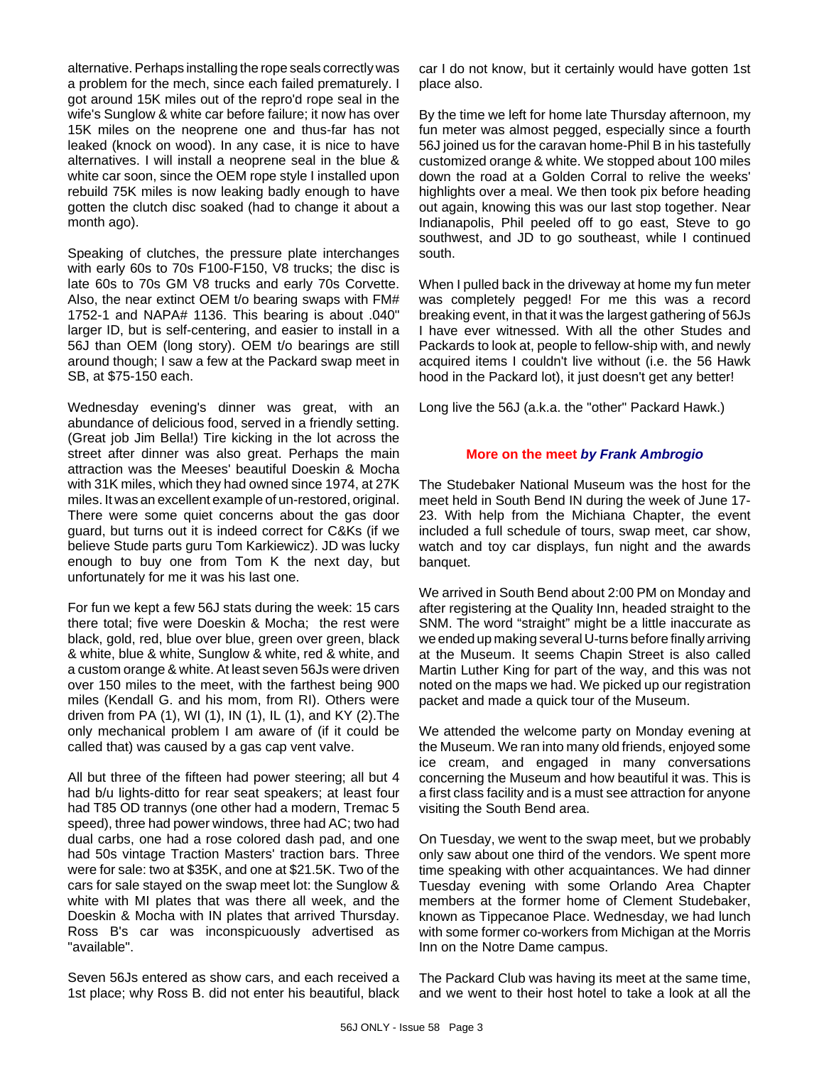alternative. Perhaps installing the rope seals correctly was a problem for the mech, since each failed prematurely. I got around 15K miles out of the repro'd rope seal in the wife's Sunglow & white car before failure; it now has over 15K miles on the neoprene one and thus-far has not leaked (knock on wood). In any case, it is nice to have alternatives. I will install a neoprene seal in the blue & white car soon, since the OEM rope style I installed upon rebuild 75K miles is now leaking badly enough to have gotten the clutch disc soaked (had to change it about a month ago).

Speaking of clutches, the pressure plate interchanges with early 60s to 70s F100-F150, V8 trucks; the disc is late 60s to 70s GM V8 trucks and early 70s Corvette. Also, the near extinct OEM t/o bearing swaps with FM# 1752-1 and NAPA# 1136. This bearing is about .040" larger ID, but is self-centering, and easier to install in a 56J than OEM (long story). OEM t/o bearings are still around though; I saw a few at the Packard swap meet in SB, at \$75-150 each.

Wednesday evening's dinner was great, with an abundance of delicious food, served in a friendly setting. (Great job Jim Bella!) Tire kicking in the lot across the street after dinner was also great. Perhaps the main attraction was the Meeses' beautiful Doeskin & Mocha with 31K miles, which they had owned since 1974, at 27K miles. It was an excellent example of un-restored, original. There were some quiet concerns about the gas door guard, but turns out it is indeed correct for C&Ks (if we believe Stude parts guru Tom Karkiewicz). JD was lucky enough to buy one from Tom K the next day, but unfortunately for me it was his last one.

For fun we kept a few 56J stats during the week: 15 cars there total; five were Doeskin & Mocha; the rest were black, gold, red, blue over blue, green over green, black & white, blue & white, Sunglow & white, red & white, and a custom orange & white. At least seven 56Js were driven over 150 miles to the meet, with the farthest being 900 miles (Kendall G. and his mom, from RI). Others were driven from PA (1), WI (1), IN (1), IL (1), and KY (2).The only mechanical problem I am aware of (if it could be called that) was caused by a gas cap vent valve.

All but three of the fifteen had power steering; all but 4 had b/u lights-ditto for rear seat speakers; at least four had T85 OD trannys (one other had a modern, Tremac 5 speed), three had power windows, three had AC; two had dual carbs, one had a rose colored dash pad, and one had 50s vintage Traction Masters' traction bars. Three were for sale: two at \$35K, and one at \$21.5K. Two of the cars for sale stayed on the swap meet lot: the Sunglow & white with MI plates that was there all week, and the Doeskin & Mocha with IN plates that arrived Thursday. Ross B's car was inconspicuously advertised as "available".

Seven 56Js entered as show cars, and each received a 1st place; why Ross B. did not enter his beautiful, black

car I do not know, but it certainly would have gotten 1st place also.

By the time we left for home late Thursday afternoon, my fun meter was almost pegged, especially since a fourth 56J joined us for the caravan home-Phil B in his tastefully customized orange & white. We stopped about 100 miles down the road at a Golden Corral to relive the weeks' highlights over a meal. We then took pix before heading out again, knowing this was our last stop together. Near Indianapolis, Phil peeled off to go east, Steve to go southwest, and JD to go southeast, while I continued south.

When I pulled back in the driveway at home my fun meter was completely pegged! For me this was a record breaking event, in that it was the largest gathering of 56Js I have ever witnessed. With all the other Studes and Packards to look at, people to fellow-ship with, and newly acquired items I couldn't live without (i.e. the 56 Hawk hood in the Packard lot), it just doesn't get any better!

Long live the 56J (a.k.a. the "other" Packard Hawk.)

### **More on the meet** *by Frank Ambrogio*

The Studebaker National Museum was the host for the meet held in South Bend IN during the week of June 17- 23. With help from the Michiana Chapter, the event included a full schedule of tours, swap meet, car show, watch and toy car displays, fun night and the awards banquet.

We arrived in South Bend about 2:00 PM on Monday and after registering at the Quality Inn, headed straight to the SNM. The word "straight" might be a little inaccurate as we ended up making several U-turns before finally arriving at the Museum. It seems Chapin Street is also called Martin Luther King for part of the way, and this was not noted on the maps we had. We picked up our registration packet and made a quick tour of the Museum.

We attended the welcome party on Monday evening at the Museum. We ran into many old friends, enjoyed some ice cream, and engaged in many conversations concerning the Museum and how beautiful it was. This is a first class facility and is a must see attraction for anyone visiting the South Bend area.

On Tuesday, we went to the swap meet, but we probably only saw about one third of the vendors. We spent more time speaking with other acquaintances. We had dinner Tuesday evening with some Orlando Area Chapter members at the former home of Clement Studebaker, known as Tippecanoe Place. Wednesday, we had lunch with some former co-workers from Michigan at the Morris Inn on the Notre Dame campus.

The Packard Club was having its meet at the same time, and we went to their host hotel to take a look at all the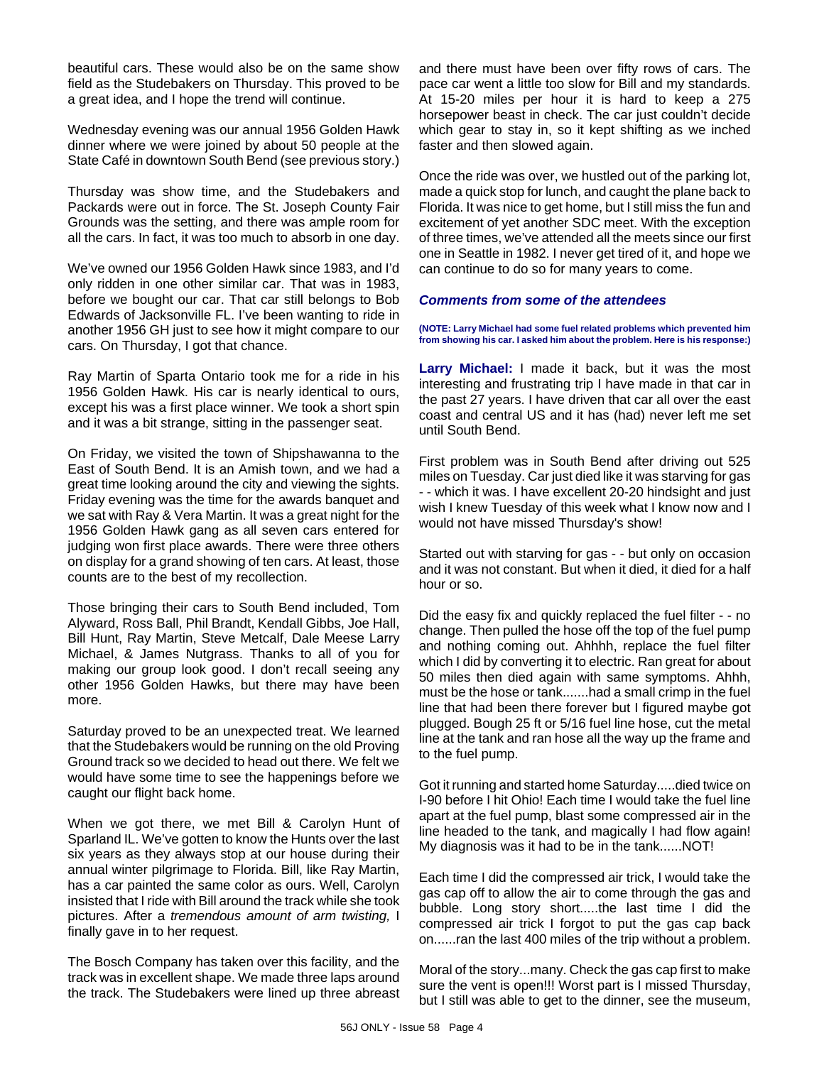beautiful cars. These would also be on the same show field as the Studebakers on Thursday. This proved to be a great idea, and I hope the trend will continue.

Wednesday evening was our annual 1956 Golden Hawk dinner where we were joined by about 50 people at the State Café in downtown South Bend (see previous story.)

Thursday was show time, and the Studebakers and Packards were out in force. The St. Joseph County Fair Grounds was the setting, and there was ample room for all the cars. In fact, it was too much to absorb in one day.

We've owned our 1956 Golden Hawk since 1983, and I'd only ridden in one other similar car. That was in 1983, before we bought our car. That car still belongs to Bob Edwards of Jacksonville FL. I've been wanting to ride in another 1956 GH just to see how it might compare to our cars. On Thursday, I got that chance.

Ray Martin of Sparta Ontario took me for a ride in his 1956 Golden Hawk. His car is nearly identical to ours, except his was a first place winner. We took a short spin and it was a bit strange, sitting in the passenger seat.

On Friday, we visited the town of Shipshawanna to the East of South Bend. It is an Amish town, and we had a great time looking around the city and viewing the sights. Friday evening was the time for the awards banquet and we sat with Ray & Vera Martin. It was a great night for the 1956 Golden Hawk gang as all seven cars entered for judging won first place awards. There were three others on display for a grand showing of ten cars. At least, those counts are to the best of my recollection.

Those bringing their cars to South Bend included, Tom Alyward, Ross Ball, Phil Brandt, Kendall Gibbs, Joe Hall, Bill Hunt, Ray Martin, Steve Metcalf, Dale Meese Larry Michael, & James Nutgrass. Thanks to all of you for making our group look good. I don't recall seeing any other 1956 Golden Hawks, but there may have been more.

Saturday proved to be an unexpected treat. We learned that the Studebakers would be running on the old Proving Ground track so we decided to head out there. We felt we would have some time to see the happenings before we caught our flight back home.

When we got there, we met Bill & Carolyn Hunt of Sparland IL. We've gotten to know the Hunts over the last six years as they always stop at our house during their annual winter pilgrimage to Florida. Bill, like Ray Martin, has a car painted the same color as ours. Well, Carolyn insisted that I ride with Bill around the track while she took pictures. After a *tremendous amount of arm twisting,* I finally gave in to her request.

The Bosch Company has taken over this facility, and the track was in excellent shape. We made three laps around the track. The Studebakers were lined up three abreast and there must have been over fifty rows of cars. The pace car went a little too slow for Bill and my standards. At 15-20 miles per hour it is hard to keep a 275 horsepower beast in check. The car just couldn't decide which gear to stay in, so it kept shifting as we inched faster and then slowed again.

Once the ride was over, we hustled out of the parking lot, made a quick stop for lunch, and caught the plane back to Florida. It was nice to get home, but I still miss the fun and excitement of yet another SDC meet. With the exception of three times, we've attended all the meets since our first one in Seattle in 1982. I never get tired of it, and hope we can continue to do so for many years to come.

### *Comments from some of the attendees*

**(NOTE: Larry Michael had some fuel related problems which prevented him from showing his car. I asked him about the problem. Here is his response:)**

**Larry Michael:** I made it back, but it was the most interesting and frustrating trip I have made in that car in the past 27 years. I have driven that car all over the east coast and central US and it has (had) never left me set until South Bend.

First problem was in South Bend after driving out 525 miles on Tuesday. Car just died like it was starving for gas - - which it was. I have excellent 20-20 hindsight and just wish I knew Tuesday of this week what I know now and I would not have missed Thursday's show!

Started out with starving for gas - - but only on occasion and it was not constant. But when it died, it died for a half hour or so.

Did the easy fix and quickly replaced the fuel filter - - no change. Then pulled the hose off the top of the fuel pump and nothing coming out. Ahhhh, replace the fuel filter which I did by converting it to electric. Ran great for about 50 miles then died again with same symptoms. Ahhh, must be the hose or tank.......had a small crimp in the fuel line that had been there forever but I figured maybe got plugged. Bough 25 ft or 5/16 fuel line hose, cut the metal line at the tank and ran hose all the way up the frame and to the fuel pump.

Got it running and started home Saturday.....died twice on I-90 before I hit Ohio! Each time I would take the fuel line apart at the fuel pump, blast some compressed air in the line headed to the tank, and magically I had flow again! My diagnosis was it had to be in the tank......NOT!

Each time I did the compressed air trick, I would take the gas cap off to allow the air to come through the gas and bubble. Long story short.....the last time I did the compressed air trick I forgot to put the gas cap back on......ran the last 400 miles of the trip without a problem.

Moral of the story...many. Check the gas cap first to make sure the vent is open!!! Worst part is I missed Thursday, but I still was able to get to the dinner, see the museum,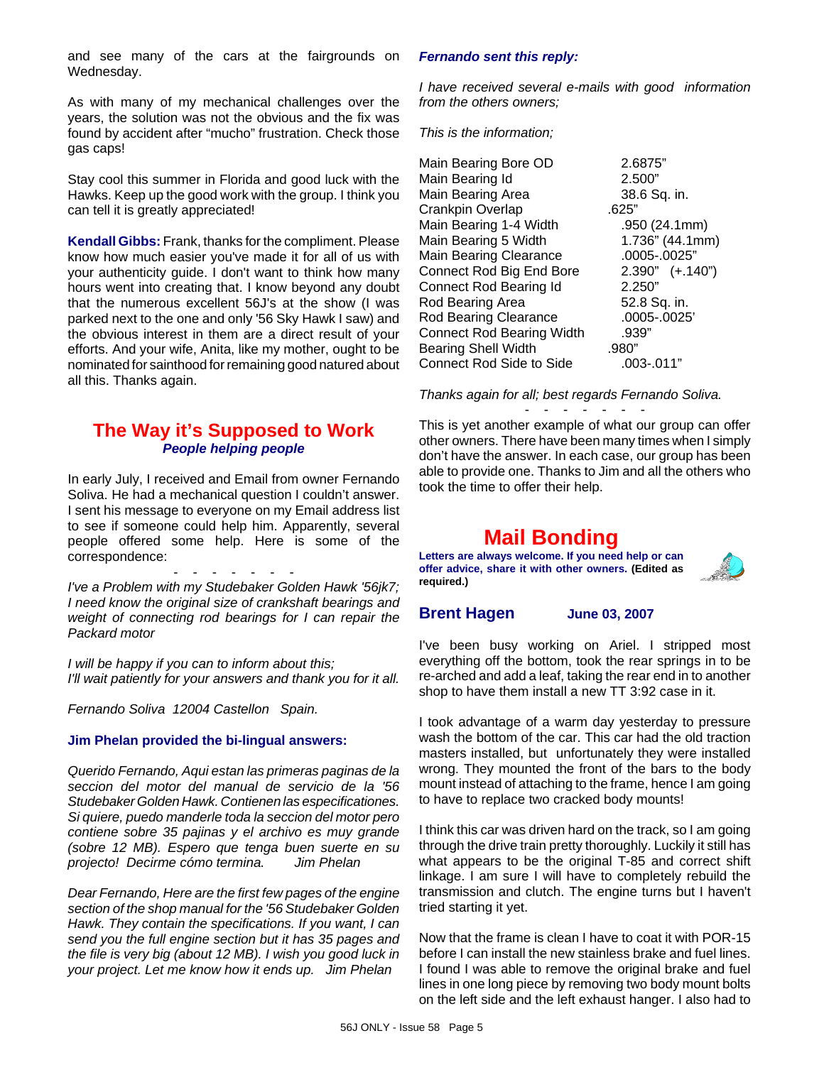and see many of the cars at the fairgrounds on Wednesday.

As with many of my mechanical challenges over the years, the solution was not the obvious and the fix was found by accident after "mucho" frustration. Check those gas caps!

Stay cool this summer in Florida and good luck with the Hawks. Keep up the good work with the group. I think you can tell it is greatly appreciated!

**Kendall Gibbs:** Frank, thanks for the compliment. Please know how much easier you've made it for all of us with your authenticity guide. I don't want to think how many hours went into creating that. I know beyond any doubt that the numerous excellent 56J's at the show (I was parked next to the one and only '56 Sky Hawk I saw) and the obvious interest in them are a direct result of your efforts. And your wife, Anita, like my mother, ought to be nominated for sainthood for remaining good natured about all this. Thanks again.

# **The Way it's Supposed to Work** *People helping people*

In early July, I received and Email from owner Fernando Soliva. He had a mechanical question I couldn't answer. I sent his message to everyone on my Email address list to see if someone could help him. Apparently, several people offered some help. Here is some of the correspondence:

*I've a Problem with my Studebaker Golden Hawk '56jk7; I need know the original size of crankshaft bearings and weight of connecting rod bearings for I can repair the Packard motor*

- - - - - - -

*I will be happy if you can to inform about this; I'll wait patiently for your answers and thank you for it all.*

*Fernando Soliva 12004 Castellon Spain.*

#### **Jim Phelan provided the bi-lingual answers:**

*Querido Fernando, Aqui estan las primeras paginas de la seccion del motor del manual de servicio de la '56 Studebaker Golden Hawk. Contienen las especificationes. Si quiere, puedo manderle toda la seccion del motor pero contiene sobre 35 pajinas y el archivo es muy grande (sobre 12 MB). Espero que tenga buen suerte en su projecto! Decirme cómo termina. Jim Phelan*

*Dear Fernando, Here are the first few pages of the engine section of the shop manual for the '56 Studebaker Golden Hawk. They contain the specifications. If you want, I can send you the full engine section but it has 35 pages and the file is very big (about 12 MB). I wish you good luck in your project. Let me know how it ends up. Jim Phelan*

#### *Fernando sent this reply:*

*I have received several e-mails with good information from the others owners;*

*This is the information;*

| Main Bearing Bore OD             | 2.6875"             |
|----------------------------------|---------------------|
| Main Bearing Id                  | 2.500"              |
| Main Bearing Area                | 38.6 Sq. in.        |
| Crankpin Overlap                 | .625"               |
| Main Bearing 1-4 Width           | .950(24.1mm)        |
| Main Bearing 5 Width             | 1.736" (44.1mm)     |
| <b>Main Bearing Clearance</b>    | .0005-.0025"        |
| Connect Rod Big End Bore         | $2.390"$ $(+.140")$ |
| Connect Rod Bearing Id           | 2.250"              |
| Rod Bearing Area                 | 52.8 Sq. in.        |
| <b>Rod Bearing Clearance</b>     | .0005-.0025'        |
| <b>Connect Rod Bearing Width</b> | .939"               |
| <b>Bearing Shell Width</b>       | .980"               |
| <b>Connect Rod Side to Side</b>  | $.003 - .011"$      |

*Thanks again for all; best regards Fernando Soliva.*

- - - - - - - This is yet another example of what our group can offer other owners. There have been many times when I simply don't have the answer. In each case, our group has been able to provide one. Thanks to Jim and all the others who took the time to offer their help.

# **Mail Bonding**

**Letters are always welcome. If you need help or can offer advice, share it with other owners. (Edited as required.)**



#### **Brent Hagen June 03, 2007**

I've been busy working on Ariel. I stripped most everything off the bottom, took the rear springs in to be re-arched and add a leaf, taking the rear end in to another shop to have them install a new TT 3:92 case in it.

I took advantage of a warm day yesterday to pressure wash the bottom of the car. This car had the old traction masters installed, but unfortunately they were installed wrong. They mounted the front of the bars to the body mount instead of attaching to the frame, hence I am going to have to replace two cracked body mounts!

I think this car was driven hard on the track, so I am going through the drive train pretty thoroughly. Luckily it still has what appears to be the original T-85 and correct shift linkage. I am sure I will have to completely rebuild the transmission and clutch. The engine turns but I haven't tried starting it yet.

Now that the frame is clean I have to coat it with POR-15 before I can install the new stainless brake and fuel lines. I found I was able to remove the original brake and fuel lines in one long piece by removing two body mount bolts on the left side and the left exhaust hanger. I also had to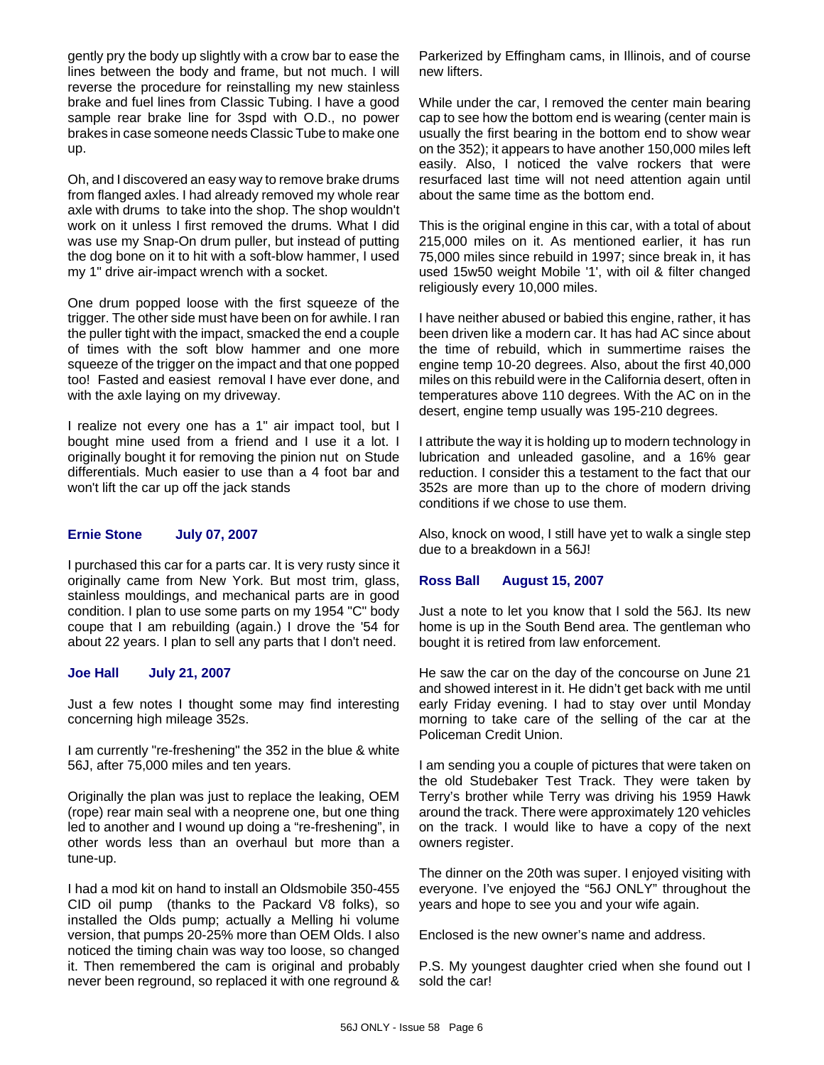gently pry the body up slightly with a crow bar to ease the lines between the body and frame, but not much. I will reverse the procedure for reinstalling my new stainless brake and fuel lines from Classic Tubing. I have a good sample rear brake line for 3spd with O.D., no power brakes in case someone needs Classic Tube to make one up.

Oh, and I discovered an easy way to remove brake drums from flanged axles. I had already removed my whole rear axle with drums to take into the shop. The shop wouldn't work on it unless I first removed the drums. What I did was use my Snap-On drum puller, but instead of putting the dog bone on it to hit with a soft-blow hammer, I used my 1" drive air-impact wrench with a socket.

One drum popped loose with the first squeeze of the trigger. The other side must have been on for awhile. I ran the puller tight with the impact, smacked the end a couple of times with the soft blow hammer and one more squeeze of the trigger on the impact and that one popped too! Fasted and easiest removal I have ever done, and with the axle laying on my driveway.

I realize not every one has a 1" air impact tool, but I bought mine used from a friend and I use it a lot. I originally bought it for removing the pinion nut on Stude differentials. Much easier to use than a 4 foot bar and won't lift the car up off the jack stands

### **Ernie Stone July 07, 2007**

I purchased this car for a parts car. It is very rusty since it originally came from New York. But most trim, glass, stainless mouldings, and mechanical parts are in good condition. I plan to use some parts on my 1954 "C" body coupe that I am rebuilding (again.) I drove the '54 for about 22 years. I plan to sell any parts that I don't need.

### **Joe Hall July 21, 2007**

Just a few notes I thought some may find interesting concerning high mileage 352s.

I am currently "re-freshening" the 352 in the blue & white 56J, after 75,000 miles and ten years.

Originally the plan was just to replace the leaking, OEM (rope) rear main seal with a neoprene one, but one thing led to another and I wound up doing a "re-freshening", in other words less than an overhaul but more than a tune-up.

I had a mod kit on hand to install an Oldsmobile 350-455 CID oil pump (thanks to the Packard V8 folks), so installed the Olds pump; actually a Melling hi volume version, that pumps 20-25% more than OEM Olds. I also noticed the timing chain was way too loose, so changed it. Then remembered the cam is original and probably never been reground, so replaced it with one reground &

Parkerized by Effingham cams, in Illinois, and of course new lifters.

While under the car, I removed the center main bearing cap to see how the bottom end is wearing (center main is usually the first bearing in the bottom end to show wear on the 352); it appears to have another 150,000 miles left easily. Also, I noticed the valve rockers that were resurfaced last time will not need attention again until about the same time as the bottom end.

This is the original engine in this car, with a total of about 215,000 miles on it. As mentioned earlier, it has run 75,000 miles since rebuild in 1997; since break in, it has used 15w50 weight Mobile '1', with oil & filter changed religiously every 10,000 miles.

I have neither abused or babied this engine, rather, it has been driven like a modern car. It has had AC since about the time of rebuild, which in summertime raises the engine temp 10-20 degrees. Also, about the first 40,000 miles on this rebuild were in the California desert, often in temperatures above 110 degrees. With the AC on in the desert, engine temp usually was 195-210 degrees.

I attribute the way it is holding up to modern technology in lubrication and unleaded gasoline, and a 16% gear reduction. I consider this a testament to the fact that our 352s are more than up to the chore of modern driving conditions if we chose to use them.

Also, knock on wood, I still have yet to walk a single step due to a breakdown in a 56J!

## **Ross Ball August 15, 2007**

Just a note to let you know that I sold the 56J. Its new home is up in the South Bend area. The gentleman who bought it is retired from law enforcement.

He saw the car on the day of the concourse on June 21 and showed interest in it. He didn't get back with me until early Friday evening. I had to stay over until Monday morning to take care of the selling of the car at the Policeman Credit Union.

I am sending you a couple of pictures that were taken on the old Studebaker Test Track. They were taken by Terry's brother while Terry was driving his 1959 Hawk around the track. There were approximately 120 vehicles on the track. I would like to have a copy of the next owners register.

The dinner on the 20th was super. I enjoyed visiting with everyone. I've enjoyed the "56J ONLY" throughout the years and hope to see you and your wife again.

Enclosed is the new owner's name and address.

P.S. My youngest daughter cried when she found out I sold the car!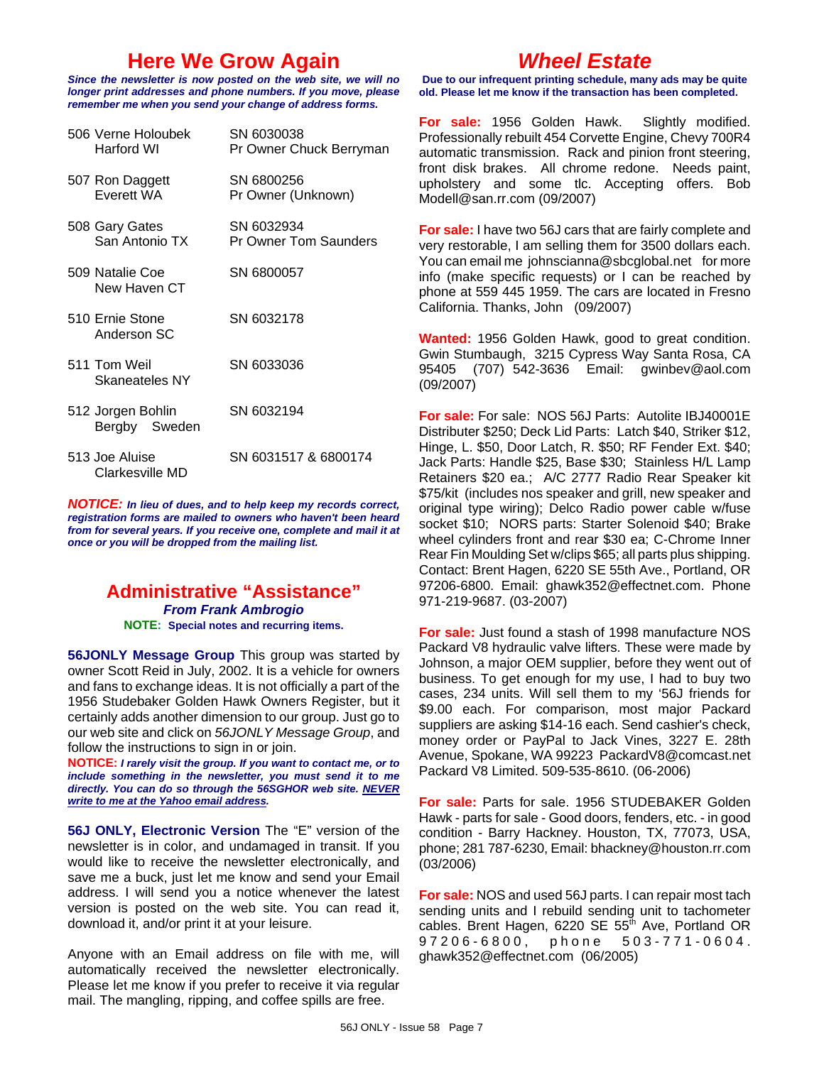# **Here We Grow Again**

*Since the newsletter is now posted on the web site, we will no longer print addresses and phone numbers. If you move, please remember me when you send your change of address forms.*

| 506 Verne Holoubek<br>Harford WI   | SN 6030038<br>Pr Owner Chuck Berryman      |
|------------------------------------|--------------------------------------------|
| 507 Ron Daggett<br>Everett WA      | SN 6800256<br>Pr Owner (Unknown)           |
| 508 Gary Gates<br>San Antonio TX   | SN 6032934<br><b>Pr Owner Tom Saunders</b> |
| 509 Natalie Coe<br>New Haven CT    | SN 6800057                                 |
| 510 Ernie Stone<br>Anderson SC     | SN 6032178                                 |
| 511 Tom Weil<br>Skaneateles NY     | SN 6033036                                 |
| 512 Jorgen Bohlin<br>Bergby Sweden | SN 6032194                                 |
| 513 Joe Aluise<br>Clarkesville MD  | SN 6031517 & 6800174                       |

*NOTICE: In lieu of dues, and to help keep my records correct, registration forms are mailed to owners who haven't been heard from for several years. If you receive one, complete and mail it at once or you will be dropped from the mailing list.*

### **Administrative "Assistance"** *From Frank Ambrogio* **NOTE: Special notes and recurring items.**

**56JONLY Message Group** This group was started by owner Scott Reid in July, 2002. It is a vehicle for owners and fans to exchange ideas. It is not officially a part of the 1956 Studebaker Golden Hawk Owners Register, but it certainly adds another dimension to our group. Just go to our web site and click on *56JONLY Message Group*, and follow the instructions to sign in or join.

**NOTICE:** *I rarely visit the group. If you want to contact me, or to include something in the newsletter, you must send it to me directly. You can do so through the 56SGHOR web site. NEVER write to me at the Yahoo email address.*

**56J ONLY, Electronic Version** The "E" version of the newsletter is in color, and undamaged in transit. If you would like to receive the newsletter electronically, and save me a buck, just let me know and send your Email address. I will send you a notice whenever the latest version is posted on the web site. You can read it, download it, and/or print it at your leisure.

Anyone with an Email address on file with me, will automatically received the newsletter electronically. Please let me know if you prefer to receive it via regular mail. The mangling, ripping, and coffee spills are free.

# *Wheel Estate*

**Due to our infrequent printing schedule, many ads may be quite old. Please let me know if the transaction has been completed.**

**For sale:** 1956 Golden Hawk. Slightly modified. Professionally rebuilt 454 Corvette Engine, Chevy 700R4 automatic transmission. Rack and pinion front steering, front disk brakes. All chrome redone. Needs paint, upholstery and some tlc. Accepting offers. Bob Modell@san.rr.com (09/2007)

**For sale:** I have two 56J cars that are fairly complete and very restorable, I am selling them for 3500 dollars each. You can email me johnscianna@sbcglobal.net for more info (make specific requests) or I can be reached by phone at 559 445 1959. The cars are located in Fresno California. Thanks, John (09/2007)

**Wanted:** 1956 Golden Hawk, good to great condition. Gwin Stumbaugh, 3215 Cypress Way Santa Rosa, CA 95405 (707) 542-3636 Email: gwinbev@aol.com (09/2007)

**For sale:** For sale: NOS 56J Parts: Autolite IBJ40001E Distributer \$250; Deck Lid Parts: Latch \$40, Striker \$12, Hinge, L. \$50, Door Latch, R. \$50; RF Fender Ext. \$40; Jack Parts: Handle \$25, Base \$30; Stainless H/L Lamp Retainers \$20 ea.; A/C 2777 Radio Rear Speaker kit \$75/kit (includes nos speaker and grill, new speaker and original type wiring); Delco Radio power cable w/fuse socket \$10; NORS parts: Starter Solenoid \$40; Brake wheel cylinders front and rear \$30 ea; C-Chrome Inner Rear Fin Moulding Set w/clips \$65; all parts plus shipping. Contact: Brent Hagen, 6220 SE 55th Ave., Portland, OR 97206-6800. Email: ghawk352@effectnet.com. Phone 971-219-9687. (03-2007)

**For sale:** Just found a stash of 1998 manufacture NOS Packard V8 hydraulic valve lifters. These were made by Johnson, a major OEM supplier, before they went out of business. To get enough for my use, I had to buy two cases, 234 units. Will sell them to my '56J friends for \$9.00 each. For comparison, most major Packard suppliers are asking \$14-16 each. Send cashier's check, money order or PayPal to Jack Vines, 3227 E. 28th Avenue, Spokane, WA 99223 PackardV8@comcast.net Packard V8 Limited. 509-535-8610. (06-2006)

**For sale:** Parts for sale. 1956 STUDEBAKER Golden Hawk - parts for sale - Good doors, fenders, etc. - in good condition - Barry Hackney. Houston, TX, 77073, USA, phone; 281 787-6230, Email: bhackney@houston.rr.com (03/2006)

**For sale:** NOS and used 56J parts. I can repair most tach sending units and I rebuild sending unit to tachometer cables. Brent Hagen, 6220 SE  $55<sup>th</sup>$  Ave, Portland OR 97206-6800, phone 503- 771-0604. ghawk352@effectnet.com (06/2005)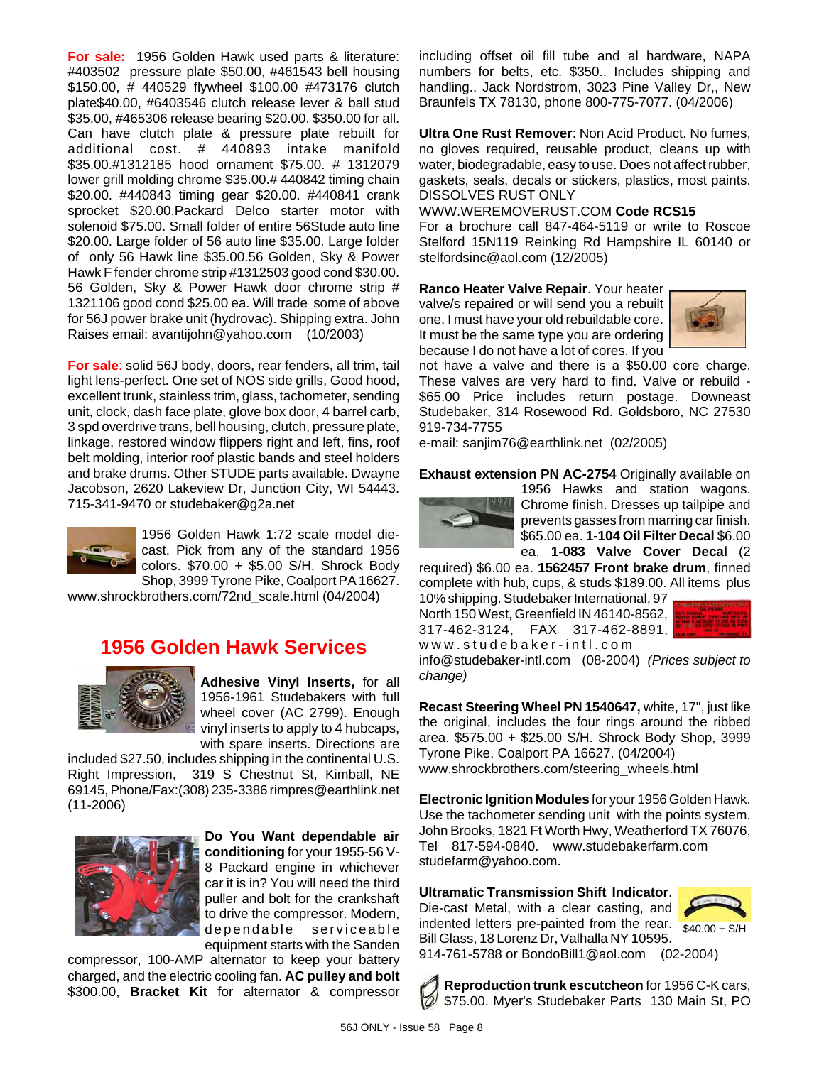**For sale:** 1956 Golden Hawk used parts & literature: #403502 pressure plate \$50.00, #461543 bell housing \$150.00, # 440529 flywheel \$100.00 #473176 clutch plate\$40.00, #6403546 clutch release lever & ball stud \$35.00, #465306 release bearing \$20.00. \$350.00 for all. Can have clutch plate & pressure plate rebuilt for additional cost. # 440893 intake manifold \$35.00.#1312185 hood ornament \$75.00. # 1312079 lower grill molding chrome \$35.00.# 440842 timing chain \$20.00. #440843 timing gear \$20.00. #440841 crank sprocket \$20.00.Packard Delco starter motor with solenoid \$75.00. Small folder of entire 56Stude auto line \$20.00. Large folder of 56 auto line \$35.00. Large folder of only 56 Hawk line \$35.00.56 Golden, Sky & Power Hawk F fender chrome strip #1312503 good cond \$30.00. 56 Golden, Sky & Power Hawk door chrome strip # 1321106 good cond \$25.00 ea. Will trade some of above for 56J power brake unit (hydrovac). Shipping extra. John Raises email: avantijohn@yahoo.com (10/2003)

**For sale**: solid 56J body, doors, rear fenders, all trim, tail light lens-perfect. One set of NOS side grills, Good hood, excellent trunk, stainless trim, glass, tachometer, sending unit, clock, dash face plate, glove box door, 4 barrel carb, 3 spd overdrive trans, bell housing, clutch, pressure plate, linkage, restored window flippers right and left, fins, roof belt molding, interior roof plastic bands and steel holders and brake drums. Other STUDE parts available. Dwayne Jacobson, 2620 Lakeview Dr, Junction City, WI 54443. 715-341-9470 or studebaker@g2a.net

1956 Golden Hawk 1:72 scale model diecast. Pick from any of the standard 1956 colors. \$70.00 + \$5.00 S/H. Shrock Body Shop, 3999 Tyrone Pike, Coalport PA 16627.

www.shrockbrothers.com/72nd\_scale.html (04/2004)

# **1956 Golden Hawk Services**



**Adhesive Vinyl Inserts,** for all 1956-1961 Studebakers with full wheel cover (AC 2799). Enough vinyl inserts to apply to 4 hubcaps, with spare inserts. Directions are

included \$27.50, includes shipping in the continental U.S. Right Impression, 319 S Chestnut St, Kimball, NE 69145, Phone/Fax:(308) 235-3386 rimpres@earthlink.net (11-2006)



**Do You Want dependable air conditioning** for your 1955-56 V-8 Packard engine in whichever car it is in? You will need the third puller and bolt for the crankshaft to drive the compressor. Modern, dependable serviceable equipment starts with the Sanden

compressor, 100-AMP alternator to keep your battery charged, and the electric cooling fan. **AC pulley and bolt** \$300.00, **Bracket Kit** for alternator & compressor

including offset oil fill tube and al hardware, NAPA numbers for belts, etc. \$350.. Includes shipping and handling.. Jack Nordstrom, 3023 Pine Valley Dr,, New Braunfels TX 78130, phone 800-775-7077. (04/2006)

**Ultra One Rust Remover**: Non Acid Product. No fumes, no gloves required, reusable product, cleans up with water, biodegradable, easy to use. Does not affect rubber, gaskets, seals, decals or stickers, plastics, most paints. DISSOLVES RUST ONLY

WWW.WEREMOVERUST.COM **Code RCS15**

For a brochure call 847-464-5119 or write to Roscoe Stelford 15N119 Reinking Rd Hampshire IL 60140 or stelfordsinc@aol.com (12/2005)

**Ranco Heater Valve Repair**. Your heater

valve/s repaired or will send you a rebuilt one. I must have your old rebuildable core. It must be the same type you are ordering because I do not have a lot of cores. If you



not have a valve and there is a \$50.00 core charge. These valves are very hard to find. Valve or rebuild - \$65.00 Price includes return postage. Downeast Studebaker, 314 Rosewood Rd. Goldsboro, NC 27530 919-734-7755

e-mail: sanjim76@earthlink.net (02/2005)

### **Exhaust extension PN AC-2754** Originally available on



1956 Hawks and station wagons. Chrome finish. Dresses up tailpipe and prevents gasses from marring car finish. \$65.00 ea. **1-104 Oil Filter Decal** \$6.00 ea. **1-083 Valve Cover Decal** (2

required) \$6.00 ea. **1562457 Front brake drum**, finned complete with hub, cups, & studs \$189.00. All items plus

10% shipping. Studebaker International, 97 North 150 West, Greenfield IN 46140-8562, 317-462-3124, FAX 317-462-8891, www.studebaker-intl.com



info@studebaker-intl.com (08-2004) *(Prices subject to change)*

**Recast Steering Wheel PN 1540647,** white, 17", just like the original, includes the four rings around the ribbed area. \$575.00 + \$25.00 S/H. Shrock Body Shop, 3999 Tyrone Pike, Coalport PA 16627. (04/2004) www.shrockbrothers.com/steering\_wheels.html

**Electronic Ignition Modules** for your 1956 Golden Hawk. Use the tachometer sending unit with the points system. John Brooks, 1821 Ft Worth Hwy, Weatherford TX 76076, Tel 817-594-0840. www.studebakerfarm.com studefarm@yahoo.com.

**Ultramatic Transmission Shift Indicator**.

Die-cast Metal, with a clear casting, and indented letters pre-painted from the rear. Bill Glass, 18 Lorenz Dr, Valhalla NY 10595.



914-761-5788 or BondoBill1@aol.com (02-2004)

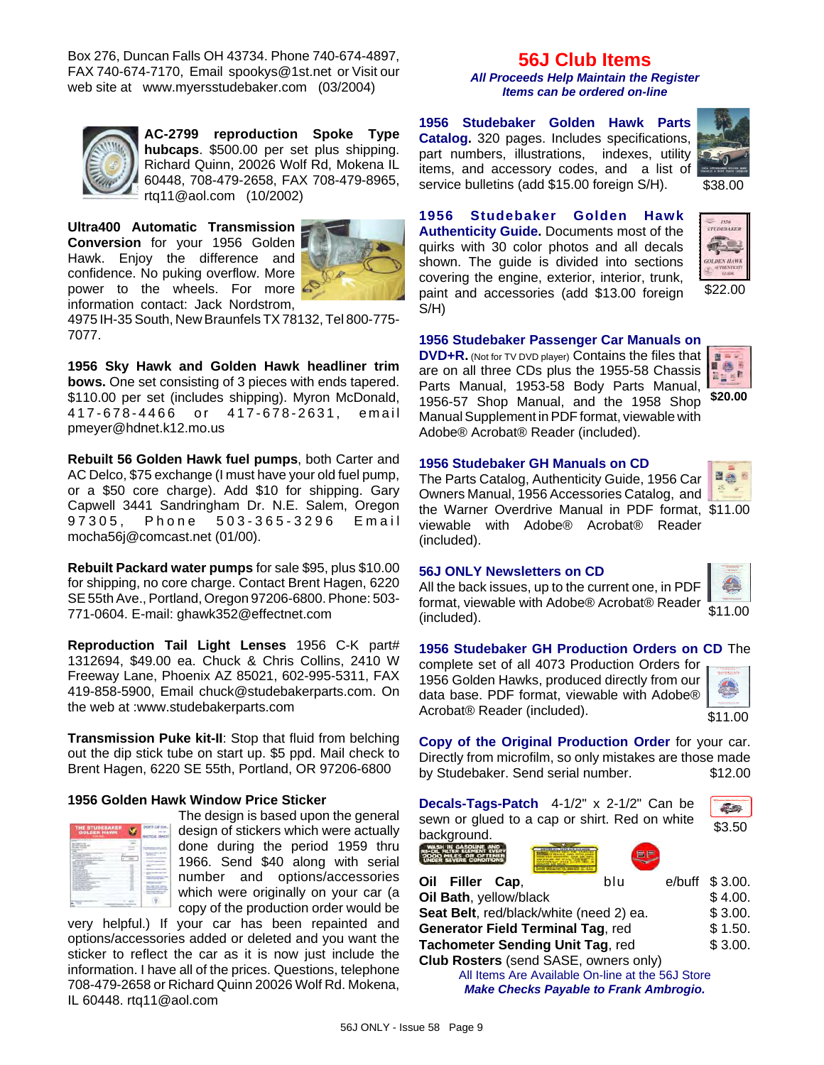Box 276, Duncan Falls OH 43734. Phone 740-674-4897, FAX 740-674-7170, Email spookys@1st.net or Visit our web site at www.myersstudebaker.com (03/2004)



**AC-2799 reproduction Spoke Type hubcaps**. \$500.00 per set plus shipping. Richard Quinn, 20026 Wolf Rd, Mokena IL 60448, 708-479-2658, FAX 708-479-8965, rtq11@aol.com (10/2002)

**Ultra400 Automatic Transmission Conversion** for your 1956 Golden Hawk. Enjoy the difference and confidence. No puking overflow. More power to the wheels. For more information contact: Jack Nordstrom,



4975 IH-35 South, New Braunfels TX 78132, Tel 800-775- 7077.

**1956 Sky Hawk and Golden Hawk headliner trim bows.** One set consisting of 3 pieces with ends tapered. \$110.00 per set (includes shipping). Myron McDonald, 417-678-4466 or 417- 678-2631, email pmeyer@hdnet.k12.mo.us

**Rebuilt 56 Golden Hawk fuel pumps**, both Carter and AC Delco, \$75 exchange (I must have your old fuel pump, or a \$50 core charge). Add \$10 for shipping. Gary Capwell 3441 Sandringham Dr. N.E. Salem, Oregon 97305, Phone 503- 365-3296 Email mocha56j@comcast.net (01/00).

**Rebuilt Packard water pumps** for sale \$95, plus \$10.00 for shipping, no core charge. Contact Brent Hagen, 6220 SE 55th Ave., Portland, Oregon 97206-6800. Phone: 503- 771-0604. E-mail: ghawk352@effectnet.com

**Reproduction Tail Light Lenses** 1956 C-K part# 1312694, \$49.00 ea. Chuck & Chris Collins, 2410 W Freeway Lane, Phoenix AZ 85021, 602-995-5311, FAX 419-858-5900, Email chuck@studebakerparts.com. On the web at :www.studebakerparts.com

**Transmission Puke kit-II**: Stop that fluid from belching out the dip stick tube on start up. \$5 ppd. Mail check to Brent Hagen, 6220 SE 55th, Portland, OR 97206-6800

### **1956 Golden Hawk Window Price Sticker**



The design is based upon the general design of stickers which were actually done during the period 1959 thru 1966. Send \$40 along with serial number and options/accessories which were originally on your car (a copy of the production order would be

very helpful.) If your car has been repainted and options/accessories added or deleted and you want the sticker to reflect the car as it is now just include the information. I have all of the prices. Questions, telephone 708-479-2658 or Richard Quinn 20026 Wolf Rd. Mokena, IL 60448. rtq11@aol.com

## **56J Club Items** *All Proceeds Help Maintain the Register*

*Items can be ordered on-line*

**1956 Studebaker Golden Hawk Parts Catalog.** 320 pages. Includes specifications, part numbers, illustrations, indexes, utility items, and accessory codes, and a list of service bulletins (add \$15.00 foreign S/H).



**1956 Studebaker Golden Hawk Authenticity Guide.** Documents most of the quirks with 30 color photos and all decals shown. The guide is divided into sections covering the engine, exterior, interior, trunk, paint and accessories (add \$13.00 foreign S/H)



**DVD+R.** (Not for TV DVD player) **Contains the files that** are on all three CDs plus the 1955-58 Chassis Parts Manual, 1953-58 Body Parts Manual, I 1956-57 Shop Manual, and the 1958 Shop Manual Supplement in PDF format, viewable with Adobe® Acrobat® Reader (included).



日益

\$22.00

 $\frac{1956}{STUDERAKER}$ 6, **OLDEN HAW** 

### **1956 Studebaker GH Manuals on CD**

the Warner Overdrive Manual in PDF format, \$11.00 The Parts Catalog, Authenticity Guide, 1956 Car Owners Manual, 1956 Accessories Catalog, and viewable with Adobe® Acrobat® Reader (included).

#### **56J ONLY Newsletters on CD**

All the back issues, up to the current one, in PDF format, viewable with Adobe® Acrobat® Reader (included).



\$11.00

#### **1956 Studebaker GH Production Orders on CD** The

complete set of all 4073 Production Orders for 1956 Golden Hawks, produced directly from our data base. PDF format, viewable with Adobe® Acrobat® Reader (included).

**Copy of the Original Production Order** for your car. Directly from microfilm, so only mistakes are those made by Studebaker. Send serial number. \$12.00

| background.                             | Decals-Tags-Patch 4-1/2" x 2-1/2" Can be<br>sewn or glued to a cap or shirt. Red on white | \$3.50  |
|-----------------------------------------|-------------------------------------------------------------------------------------------|---------|
|                                         |                                                                                           |         |
| Oil Filler Cap,                         | e/buff<br>blu                                                                             | \$3.00. |
| Oil Bath, yellow/black                  | \$4.00.                                                                                   |         |
| Seat Belt, red/black/white (need 2) ea. | \$3.00.                                                                                   |         |
| Generator Field Terminal Tag, red       | \$1.50.                                                                                   |         |
| <b>Tachometer Sending Unit Tag, red</b> | \$3.00.                                                                                   |         |

**Club Rosters** (send SASE, owners only) All Items Are Available On-line at the 56J Store *Make Checks Payable to Frank Ambrogio.*